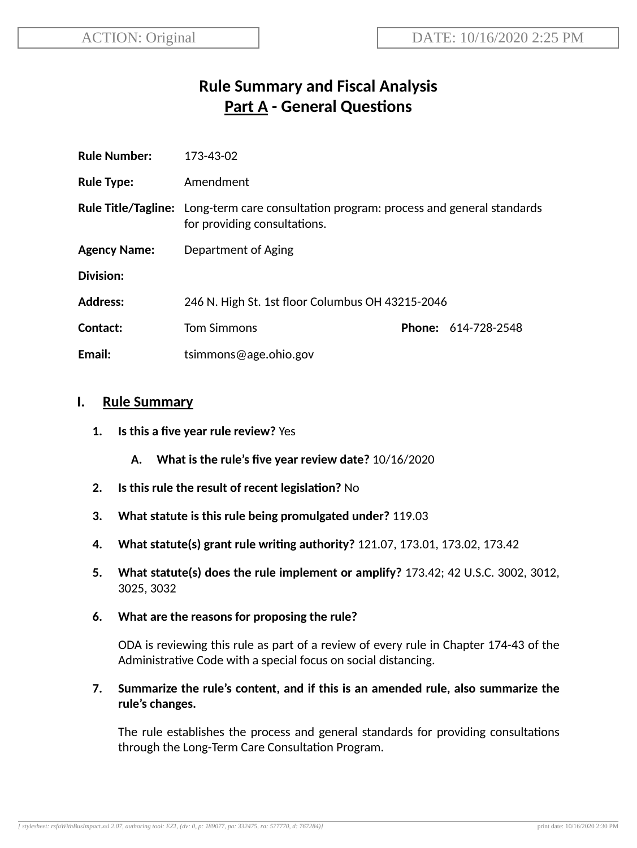# **Rule Summary and Fiscal Analysis Part A - General Questions**

| <b>Rule Number:</b> | 173-43-02                                                                                                                     |  |                            |
|---------------------|-------------------------------------------------------------------------------------------------------------------------------|--|----------------------------|
| <b>Rule Type:</b>   | Amendment                                                                                                                     |  |                            |
|                     | <b>Rule Title/Tagline:</b> Long-term care consultation program: process and general standards<br>for providing consultations. |  |                            |
| <b>Agency Name:</b> | Department of Aging                                                                                                           |  |                            |
| Division:           |                                                                                                                               |  |                            |
| <b>Address:</b>     | 246 N. High St. 1st floor Columbus OH 43215-2046                                                                              |  |                            |
| Contact:            | <b>Tom Simmons</b>                                                                                                            |  | <b>Phone: 614-728-2548</b> |
| Email:              | tsimmons@age.ohio.gov                                                                                                         |  |                            |

## **I. Rule Summary**

- **1. Is this a five year rule review?** Yes
	- **A. What is the rule's five year review date?** 10/16/2020
- **2.** Is this rule the result of recent legislation? No
- **3. What statute is this rule being promulgated under?** 119.03
- **4. What statute(s) grant rule wring authority?** 121.07, 173.01, 173.02, 173.42
- **5. What statute(s) does the rule implement or amplify?** 173.42; 42 U.S.C. 3002, 3012, 3025, 3032
- **6. What are the reasons for proposing the rule?**

ODA is reviewing this rule as part of a review of every rule in Chapter 174-43 of the Administrative Code with a special focus on social distancing.

**7. Summarize the rule's content, and if this is an amended rule, also summarize the rule's changes.**

The rule establishes the process and general standards for providing consultations through the Long-Term Care Consultation Program.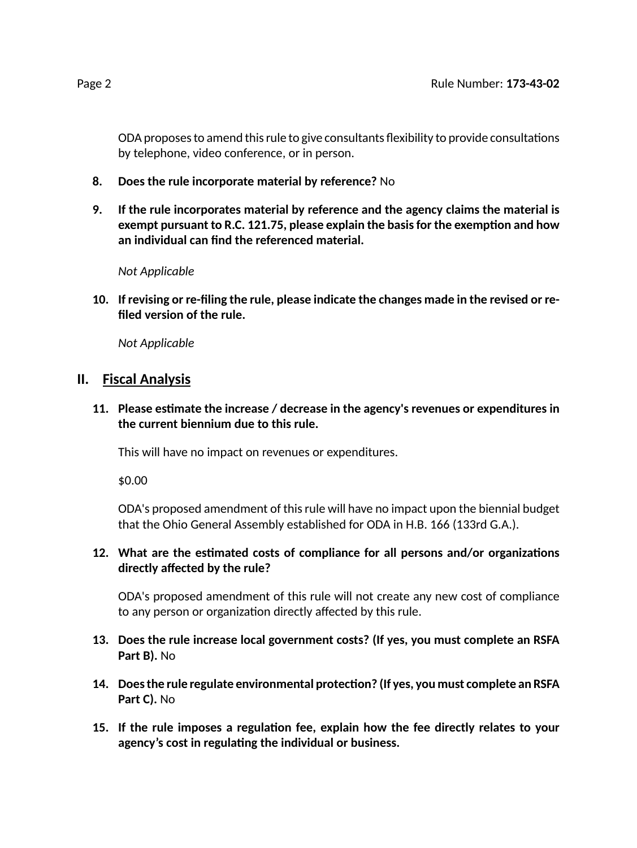ODA proposes to amend this rule to give consultants flexibility to provide consultations by telephone, video conference, or in person.

- **8. Does the rule incorporate material by reference?** No
- **9. If the rule incorporates material by reference and the agency claims the material is exempt pursuant to R.C. 121.75, please explain the basisfor the exempon and how an individual can find the referenced material.**

*Not Applicable*

**10. If revising or re-filing the rule, please indicate the changes made in the revised or refiled version of the rule.**

*Not Applicable*

## **II. Fiscal Analysis**

**11. Please esmate the increase / decrease in the agency's revenues or expenditures in the current biennium due to this rule.**

This will have no impact on revenues or expenditures.

\$0.00

ODA's proposed amendment of thisrule will have no impact upon the biennial budget that the Ohio General Assembly established for ODA in H.B. 166 (133rd G.A.).

#### 12. What are the estimated costs of compliance for all persons and/or organizations **directly affected by the rule?**

ODA's proposed amendment of this rule will not create any new cost of compliance to any person or organization directly affected by this rule.

- **13. Does the rule increase local government costs? (If yes, you must complete an RSFA Part B).** No
- **14. Doesthe rule regulate environmental protecon? (If yes, you must complete an RSFA Part C).** No
- **15. If the rule imposes a regulaon fee, explain how the fee directly relates to your agency's cost in regulang the individual or business.**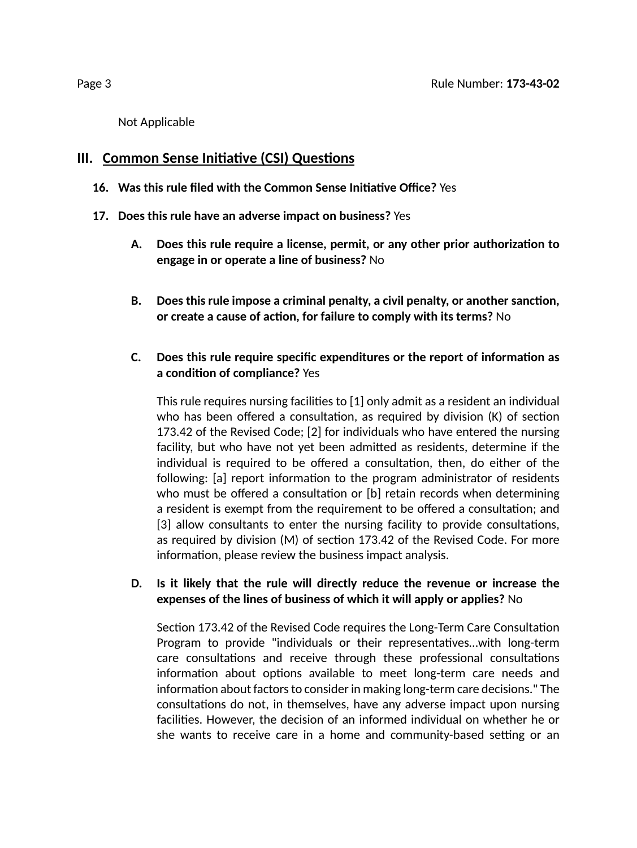Not Applicable

## **III.** Common Sense Initiative (CSI) Questions

- **16. Was this rule filed with the Common Sense Iniave Office?** Yes
- **17. Does this rule have an adverse impact on business?** Yes
	- **A. Does this rule require a license, permit, or any other prior authorizaon to engage in or operate a line of business?** No
	- **B. Does this rule impose a criminal penalty, a civil penalty, or another sancon, or** create a cause of action, for failure to comply with its terms? No

## **C. Does this rule require specific expenditures or the report of informaon as a** condition of compliance? Yes

This rule requires nursing facilities to  $[1]$  only admit as a resident an individual who has been offered a consultation, as required by division  $(K)$  of section 173.42 of the Revised Code; [2] for individuals who have entered the nursing facility, but who have not yet been admitted as residents, determine if the individual is required to be offered a consultation, then, do either of the following: [a] report information to the program administrator of residents who must be offered a consultation or [b] retain records when determining a resident is exempt from the requirement to be offered a consultation; and [3] allow consultants to enter the nursing facility to provide consultations, as required by division  $(M)$  of section 173.42 of the Revised Code. For more information, please review the business impact analysis.

#### **D. Is it likely that the rule will directly reduce the revenue or increase the expenses of the lines of business of which it will apply or applies?** No

Section 173.42 of the Revised Code requires the Long-Term Care Consultation Program to provide "individuals or their representatives...with long-term care consultations and receive through these professional consultations information about options available to meet long-term care needs and information about factors to consider in making long-term care decisions." The consultations do not, in themselves, have any adverse impact upon nursing facilities. However, the decision of an informed individual on whether he or she wants to receive care in a home and community-based setting or an